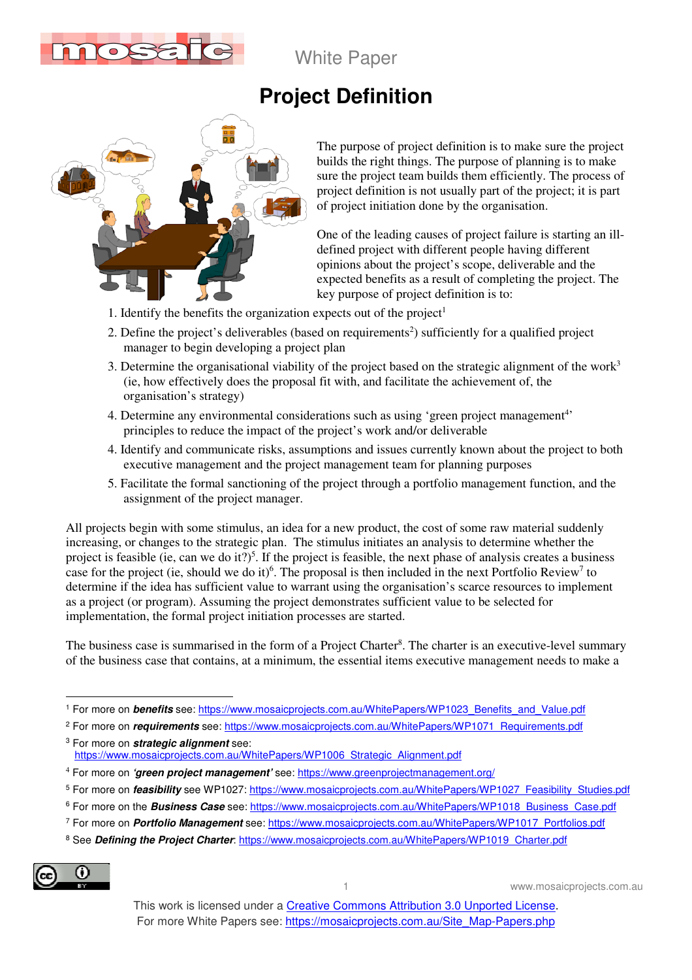

White Paper

## **Project Definition**



The purpose of project definition is to make sure the project builds the right things. The purpose of planning is to make sure the project team builds them efficiently. The process of project definition is not usually part of the project; it is part of project initiation done by the organisation.

One of the leading causes of project failure is starting an illdefined project with different people having different opinions about the project's scope, deliverable and the expected benefits as a result of completing the project. The key purpose of project definition is to:

- 1. Identify the benefits the organization expects out of the project<sup>1</sup>
- 2. Define the project's deliverables (based on requirements<sup>2</sup>) sufficiently for a qualified project manager to begin developing a project plan
- 3. Determine the organisational viability of the project based on the strategic alignment of the work<sup>3</sup> (ie, how effectively does the proposal fit with, and facilitate the achievement of, the organisation's strategy)
- 4. Determine any environmental considerations such as using 'green project management<sup>4</sup>' principles to reduce the impact of the project's work and/or deliverable
- 4. Identify and communicate risks, assumptions and issues currently known about the project to both executive management and the project management team for planning purposes
- 5. Facilitate the formal sanctioning of the project through a portfolio management function, and the assignment of the project manager.

All projects begin with some stimulus, an idea for a new product, the cost of some raw material suddenly increasing, or changes to the strategic plan. The stimulus initiates an analysis to determine whether the project is feasible (ie, can we do it?)<sup>5</sup>. If the project is feasible, the next phase of analysis creates a business case for the project (ie, should we do it)<sup>6</sup>. The proposal is then included in the next Portfolio Review<sup>7</sup> to determine if the idea has sufficient value to warrant using the organisation's scarce resources to implement as a project (or program). Assuming the project demonstrates sufficient value to be selected for implementation, the formal project initiation processes are started.

The business case is summarised in the form of a Project Charter<sup>8</sup>. The charter is an executive-level summary of the business case that contains, at a minimum, the essential items executive management needs to make a

<sup>8</sup> See Defining the Project Charter: https://www.mosaicprojects.com.au/WhitePapers/WP1019\_Charter.pdf



 $\overline{a}$ 

1 www.mosaicprojects.com.au

<sup>&</sup>lt;sup>1</sup> For more on *benefits* see: https://www.mosaicprojects.com.au/WhitePapers/WP1023\_Benefits\_and\_Value.pdf

<sup>&</sup>lt;sup>2</sup> For more on *requirements* see: https://www.mosaicprojects.com.au/WhitePapers/WP1071\_Requirements.pdf

<sup>3</sup> For more on **strategic alignment** see: https://www.mosaicprojects.com.au/WhitePapers/WP1006\_Strategic\_Alignment.pdf

<sup>4</sup> For more on **'green project management'** see: https://www.greenprojectmanagement.org/

<sup>&</sup>lt;sup>5</sup> For more on *feasibility* see WP1027: https://www.mosaicprojects.com.au/WhitePapers/WP1027\_Feasibility\_Studies.pdf

<sup>&</sup>lt;sup>6</sup> For more on the *Business Case* see: https://www.mosaicprojects.com.au/WhitePapers/WP1018\_Business\_Case.pdf

<sup>7</sup> For more on **Portfolio Management** see: https://www.mosaicprojects.com.au/WhitePapers/WP1017\_Portfolios.pdf